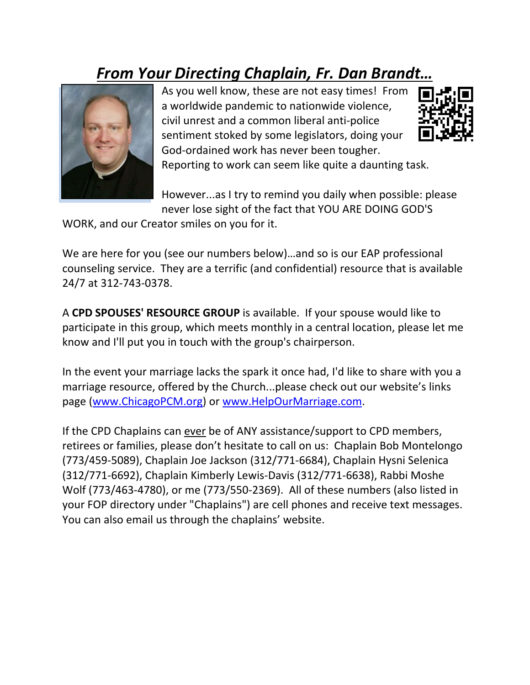## *From Your Directing Chaplain, Fr. Dan Brandt…*



As you well know, these are not easy times! From a worldwide pandemic to nationwide violence, civil unrest and a common liberal anti-police sentiment stoked by some legislators, doing your God-ordained work has never been tougher.



Reporting to work can seem like quite a daunting task.

However...as I try to remind you daily when possible: please never lose sight of the fact that YOU ARE DOING GOD'S

WORK, and our Creator smiles on you for it.

We are here for you (see our numbers below)…and so is our EAP professional counseling service. They are a terrific (and confidential) resource that is available 24/7 at 312-743-0378.

A **CPD SPOUSES' RESOURCE GROUP** is available. If your spouse would like to participate in this group, which meets monthly in a central location, please let me know and I'll put you in touch with the group's chairperson.

In the event your marriage lacks the spark it once had, I'd like to share with you a marriage resource, offered by the Church...please check out our website's links page [\(www.ChicagoPCM.org\)](http://www.chicagopcm.org/) or [www.HelpOurMarriage.com.](http://www.helpourmarriage.com/)

If the CPD Chaplains can ever be of ANY assistance/support to CPD members, retirees or families, please don't hesitate to call on us: Chaplain Bob Montelongo (773/459-5089), Chaplain Joe Jackson (312/771-6684), Chaplain Hysni Selenica (312/771-6692), Chaplain Kimberly Lewis-Davis (312/771-6638), Rabbi Moshe Wolf (773/463-4780), or me (773/550-2369). All of these numbers (also listed in your FOP directory under "Chaplains") are cell phones and receive text messages. You can also email us through the chaplains' website.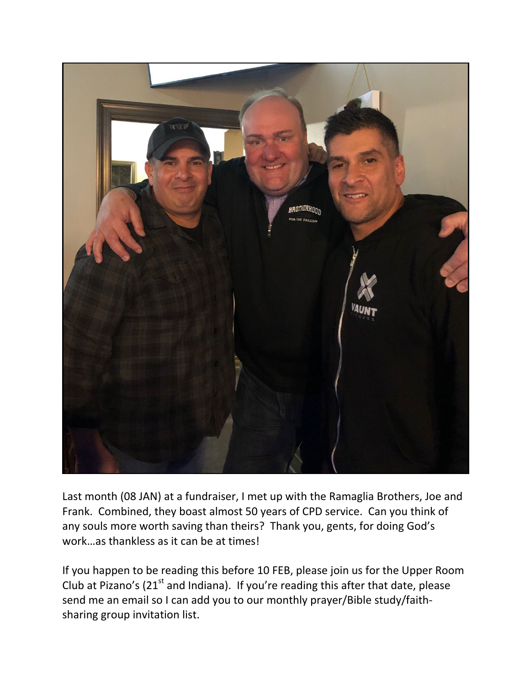

Last month (08 JAN) at a fundraiser, I met up with the Ramaglia Brothers, Joe and Frank. Combined, they boast almost 50 years of CPD service. Can you think of any souls more worth saving than theirs? Thank you, gents, for doing God's work…as thankless as it can be at times!

If you happen to be reading this before 10 FEB, please join us for the Upper Room Club at Pizano's ( $21<sup>st</sup>$  and Indiana). If you're reading this after that date, please send me an email so I can add you to our monthly prayer/Bible study/faithsharing group invitation list.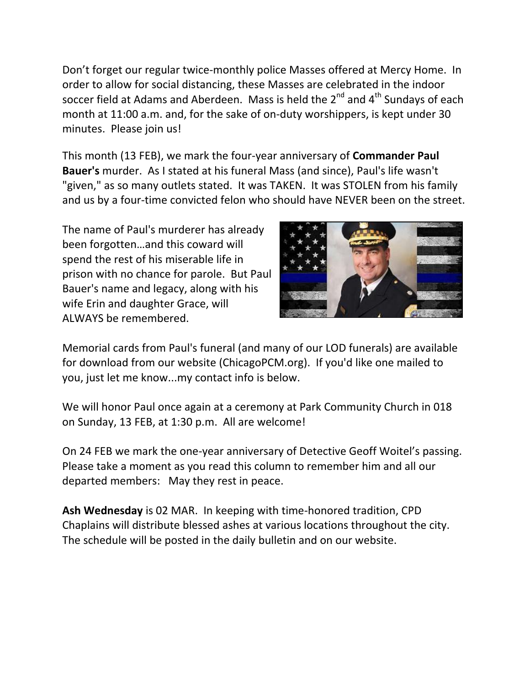Don't forget our regular twice-monthly police Masses offered at Mercy Home. In order to allow for social distancing, these Masses are celebrated in the indoor soccer field at Adams and Aberdeen. Mass is held the  $2^{nd}$  and  $4^{th}$  Sundays of each month at 11:00 a.m. and, for the sake of on-duty worshippers, is kept under 30 minutes. Please join us!

This month (13 FEB), we mark the four-year anniversary of **Commander Paul Bauer's** murder. As I stated at his funeral Mass (and since), Paul's life wasn't "given," as so many outlets stated. It was TAKEN. It was STOLEN from his family and us by a four-time convicted felon who should have NEVER been on the street.

The name of Paul's murderer has already been forgotten…and this coward will spend the rest of his miserable life in prison with no chance for parole. But Paul Bauer's name and legacy, along with his wife Erin and daughter Grace, will ALWAYS be remembered.



Memorial cards from Paul's funeral (and many of our LOD funerals) are available for download from our website (ChicagoPCM.org). If you'd like one mailed to you, just let me know...my contact info is below.

We will honor Paul once again at a ceremony at Park Community Church in 018 on Sunday, 13 FEB, at 1:30 p.m. All are welcome!

On 24 FEB we mark the one-year anniversary of Detective Geoff Woitel's passing. Please take a moment as you read this column to remember him and all our departed members: May they rest in peace.

**Ash Wednesday** is 02 MAR. In keeping with time-honored tradition, CPD Chaplains will distribute blessed ashes at various locations throughout the city. The schedule will be posted in the daily bulletin and on our website.